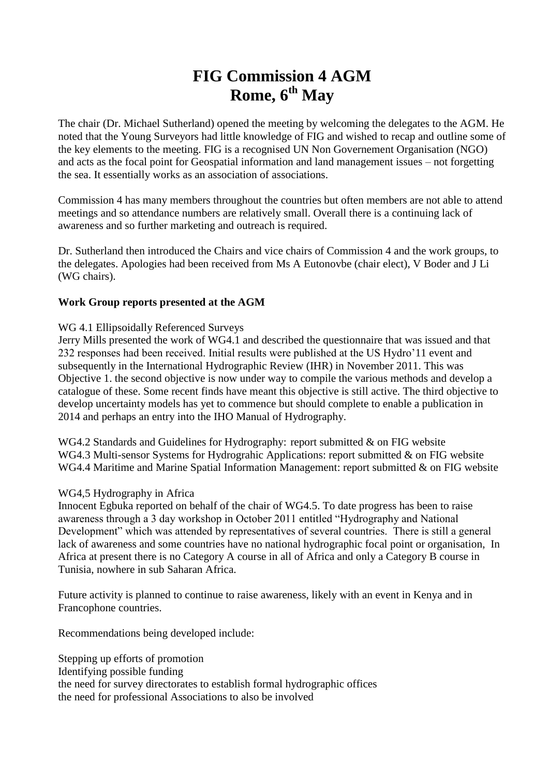# **FIG Commission 4 AGM Rome, 6th May**

The chair (Dr. Michael Sutherland) opened the meeting by welcoming the delegates to the AGM. He noted that the Young Surveyors had little knowledge of FIG and wished to recap and outline some of the key elements to the meeting. FIG is a recognised UN Non Governement Organisation (NGO) and acts as the focal point for Geospatial information and land management issues – not forgetting the sea. It essentially works as an association of associations.

Commission 4 has many members throughout the countries but often members are not able to attend meetings and so attendance numbers are relatively small. Overall there is a continuing lack of awareness and so further marketing and outreach is required.

Dr. Sutherland then introduced the Chairs and vice chairs of Commission 4 and the work groups, to the delegates. Apologies had been received from Ms A Eutonovbe (chair elect), V Boder and J Li (WG chairs).

#### **Work Group reports presented at the AGM**

#### WG 4.1 Ellipsoidally Referenced Surveys

Jerry Mills presented the work of WG4.1 and described the questionnaire that was issued and that 232 responses had been received. Initial results were published at the US Hydro"11 event and subsequently in the International Hydrographic Review (IHR) in November 2011. This was Objective 1. the second objective is now under way to compile the various methods and develop a catalogue of these. Some recent finds have meant this objective is still active. The third objective to develop uncertainty models has yet to commence but should complete to enable a publication in 2014 and perhaps an entry into the IHO Manual of Hydrography.

WG4.2 Standards and Guidelines for Hydrography: report submitted & on FIG website WG4.3 Multi-sensor Systems for Hydrograhic Applications: report submitted & on FIG website WG4.4 Maritime and Marine Spatial Information Management: report submitted & on FIG website

#### WG4,5 Hydrography in Africa

Innocent Egbuka reported on behalf of the chair of WG4.5. To date progress has been to raise awareness through a 3 day workshop in October 2011 entitled "Hydrography and National Development" which was attended by representatives of several countries. There is still a general lack of awareness and some countries have no national hydrographic focal point or organisation, In Africa at present there is no Category A course in all of Africa and only a Category B course in Tunisia, nowhere in sub Saharan Africa.

Future activity is planned to continue to raise awareness, likely with an event in Kenya and in Francophone countries.

Recommendations being developed include:

Stepping up efforts of promotion Identifying possible funding the need for survey directorates to establish formal hydrographic offices the need for professional Associations to also be involved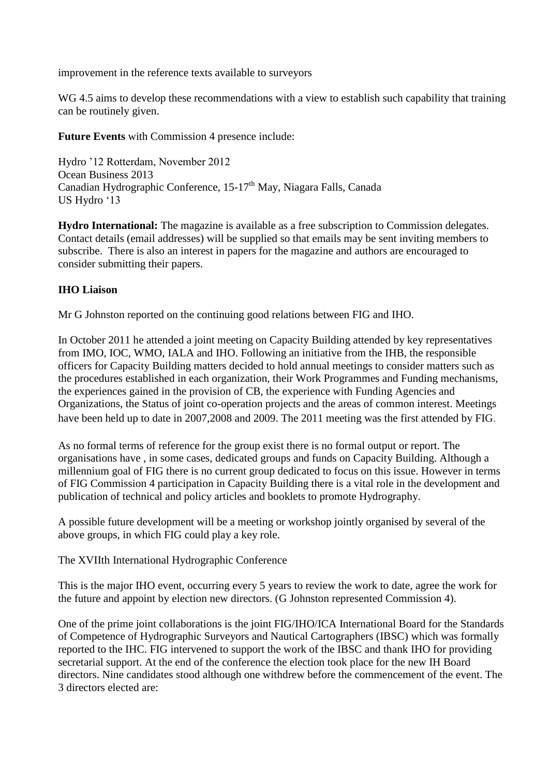improvement in the reference texts available to surveyors

WG 4.5 aims to develop these recommendations with a view to establish such capability that training can be routinely given.

**Future Events** with Commission 4 presence include:

Hydro "12 Rotterdam, November 2012 Ocean Business 2013 Canadian Hydrographic Conference, 15-17<sup>th</sup> May, Niagara Falls, Canada US Hydro "13

**Hydro International:** The magazine is available as a free subscription to Commission delegates. Contact details (email addresses) will be supplied so that emails may be sent inviting members to subscribe. There is also an interest in papers for the magazine and authors are encouraged to consider submitting their papers.

# **IHO Liaison**

Mr G Johnston reported on the continuing good relations between FIG and IHO.

In October 2011 he attended a joint meeting on Capacity Building attended by key representatives from IMO, IOC, WMO, IALA and IHO. Following an initiative from the IHB, the responsible officers for Capacity Building matters decided to hold annual meetings to consider matters such as the procedures established in each organization, their Work Programmes and Funding mechanisms, the experiences gained in the provision of CB, the experience with Funding Agencies and Organizations, the Status of joint co-operation projects and the areas of common interest. Meetings have been held up to date in 2007,2008 and 2009. The 2011 meeting was the first attended by FIG.

As no formal terms of reference for the group exist there is no formal output or report. The organisations have , in some cases, dedicated groups and funds on Capacity Building. Although a millennium goal of FIG there is no current group dedicated to focus on this issue. However in terms of FIG Commission 4 participation in Capacity Building there is a vital role in the development and publication of technical and policy articles and booklets to promote Hydrography.

A possible future development will be a meeting or workshop jointly organised by several of the above groups, in which FIG could play a key role.

The XVIIth International Hydrographic Conference

This is the major IHO event, occurring every 5 years to review the work to date, agree the work for the future and appoint by election new directors. (G Johnston represented Commission 4).

One of the prime joint collaborations is the joint FIG/IHO/ICA International Board for the Standards of Competence of Hydrographic Surveyors and Nautical Cartographers (IBSC) which was formally reported to the IHC. FIG intervened to support the work of the IBSC and thank IHO for providing secretarial support. At the end of the conference the election took place for the new IH Board directors. Nine candidates stood although one withdrew before the commencement of the event. The 3 directors elected are: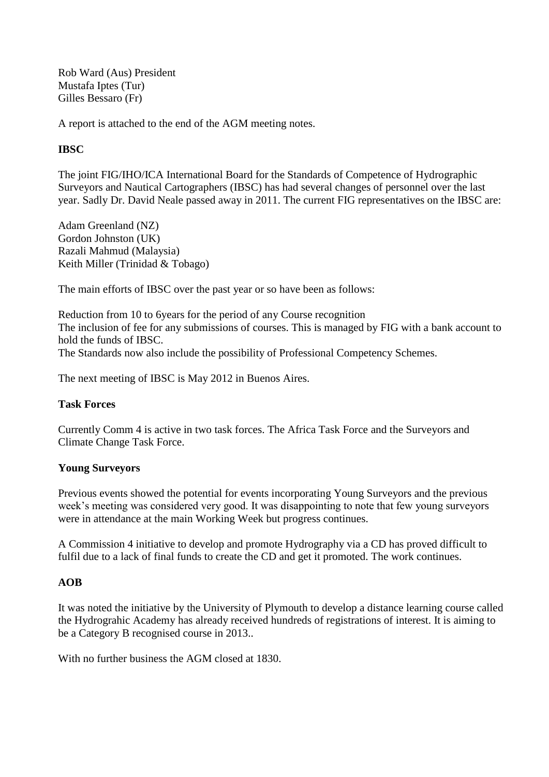Rob Ward (Aus) President Mustafa Iptes (Tur) Gilles Bessaro (Fr)

A report is attached to the end of the AGM meeting notes.

# **IBSC**

The joint FIG/IHO/ICA International Board for the Standards of Competence of Hydrographic Surveyors and Nautical Cartographers (IBSC) has had several changes of personnel over the last year. Sadly Dr. David Neale passed away in 2011. The current FIG representatives on the IBSC are:

Adam Greenland (NZ) Gordon Johnston (UK) Razali Mahmud (Malaysia) Keith Miller (Trinidad & Tobago)

The main efforts of IBSC over the past year or so have been as follows:

Reduction from 10 to 6years for the period of any Course recognition The inclusion of fee for any submissions of courses. This is managed by FIG with a bank account to hold the funds of IBSC. The Standards now also include the possibility of Professional Competency Schemes.

The next meeting of IBSC is May 2012 in Buenos Aires.

## **Task Forces**

Currently Comm 4 is active in two task forces. The Africa Task Force and the Surveyors and Climate Change Task Force.

## **Young Surveyors**

Previous events showed the potential for events incorporating Young Surveyors and the previous week"s meeting was considered very good. It was disappointing to note that few young surveyors were in attendance at the main Working Week but progress continues.

A Commission 4 initiative to develop and promote Hydrography via a CD has proved difficult to fulfil due to a lack of final funds to create the CD and get it promoted. The work continues.

## **AOB**

It was noted the initiative by the University of Plymouth to develop a distance learning course called the Hydrograhic Academy has already received hundreds of registrations of interest. It is aiming to be a Category B recognised course in 2013..

With no further business the AGM closed at 1830.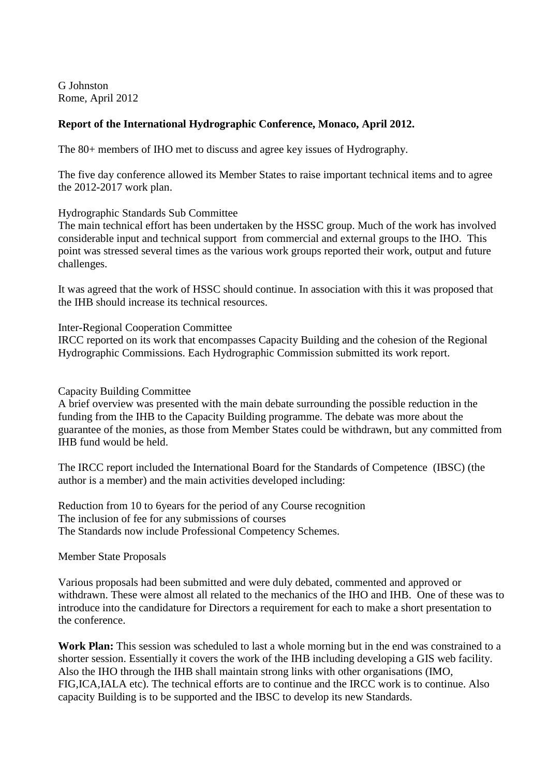G Johnston Rome, April 2012

#### **Report of the International Hydrographic Conference, Monaco, April 2012.**

The 80+ members of IHO met to discuss and agree key issues of Hydrography.

The five day conference allowed its Member States to raise important technical items and to agree the 2012-2017 work plan.

Hydrographic Standards Sub Committee

The main technical effort has been undertaken by the HSSC group. Much of the work has involved considerable input and technical support from commercial and external groups to the IHO. This point was stressed several times as the various work groups reported their work, output and future challenges.

It was agreed that the work of HSSC should continue. In association with this it was proposed that the IHB should increase its technical resources.

Inter-Regional Cooperation Committee

IRCC reported on its work that encompasses Capacity Building and the cohesion of the Regional Hydrographic Commissions. Each Hydrographic Commission submitted its work report.

#### Capacity Building Committee

A brief overview was presented with the main debate surrounding the possible reduction in the funding from the IHB to the Capacity Building programme. The debate was more about the guarantee of the monies, as those from Member States could be withdrawn, but any committed from IHB fund would be held.

The IRCC report included the International Board for the Standards of Competence (IBSC) (the author is a member) and the main activities developed including:

Reduction from 10 to 6years for the period of any Course recognition The inclusion of fee for any submissions of courses The Standards now include Professional Competency Schemes.

#### Member State Proposals

Various proposals had been submitted and were duly debated, commented and approved or withdrawn. These were almost all related to the mechanics of the IHO and IHB. One of these was to introduce into the candidature for Directors a requirement for each to make a short presentation to the conference.

**Work Plan:** This session was scheduled to last a whole morning but in the end was constrained to a shorter session. Essentially it covers the work of the IHB including developing a GIS web facility. Also the IHO through the IHB shall maintain strong links with other organisations (IMO, FIG,ICA,IALA etc). The technical efforts are to continue and the IRCC work is to continue. Also capacity Building is to be supported and the IBSC to develop its new Standards.